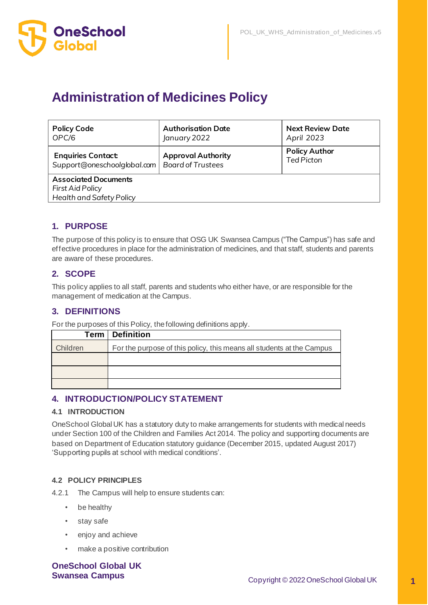

# **Administration of Medicines Policy**

| <b>Policy Code</b><br>OPC/6                                                  | <b>Authorisation Date</b><br>January 2022 | <b>Next Review Date</b><br>April 2023     |
|------------------------------------------------------------------------------|-------------------------------------------|-------------------------------------------|
| <b>Enquiries Contact:</b><br>Support@oneschoolglobal.com   Board of Trustees | <b>Approval Authority</b>                 | <b>Policy Author</b><br><b>Ted Picton</b> |
| <b>Associated Documents</b><br>First Aid Policy<br>Health and Safety Policy  |                                           |                                           |

# **1. PURPOSE**

The purpose of this policy is to ensure that OSG UK Swansea Campus ("The Campus") has safe and effective procedures in place for the administration of medicines, and that staff, students and parents are aware of these procedures.

# **2. SCOPE**

This policy applies to all staff, parents and students who either have, or are responsible for the management of medication at the Campus.

# **3. DEFINITIONS**

For the purposes of this Policy, the following definitions apply.

|          | <b>Term   Definition</b>                                              |
|----------|-----------------------------------------------------------------------|
| Children | For the purpose of this policy, this means all students at the Campus |
|          |                                                                       |
|          |                                                                       |
|          |                                                                       |

# **4. INTRODUCTION/POLICY STATEMENT**

#### **4.1 INTRODUCTION**

OneSchool Global UK has a statutory duty to make arrangements for students with medical needs under Section 100 of the Children and Families Act 2014. The policy and supporting documents are based on Department of Education statutory guidance (December 2015, updated August 2017) 'Supporting pupils at school with medical conditions'.

#### **4.2 POLICY PRINCIPLES**

4.2.1 The Campus will help to ensure students can:

- be healthy
- stay safe
- enjoy and achieve
- make a positive contribution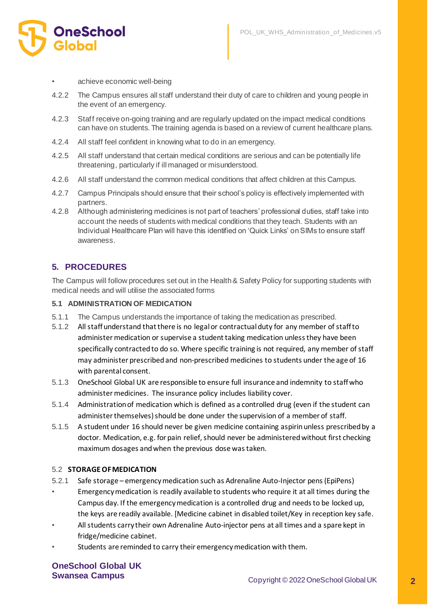

- achieve economic well-being
- 4.2.2 The Campus ensures all staff understand their duty of care to children and young people in the event of an emergency.
- 4.2.3 Staff receive on-going training and are regularly updated on the impact medical conditions can have on students. The training agenda is based on a review of current healthcare plans.
- 4.2.4 All staff feel confident in knowing what to do in an emergency.
- 4.2.5 All staff understand that certain medical conditions are serious and can be potentially life threatening, particularly if ill managed or misunderstood.
- 4.2.6 All staff understand the common medical conditions that affect children at this Campus.
- 4.2.7 Campus Principals should ensure that their school's policy is effectively implemented with partners.
- 4.2.8 Although administering medicines is not part of teachers' professional duties, staff take into account the needs of students with medical conditions that they teach. Students with an Individual Healthcare Plan will have this identified on 'Quick Links' on SIMs to ensure staff awareness.

# **5. PROCEDURES**

The Campus will follow procedures set out in the Health & Safety Policy for supporting students with medical needs and will utilise the associated forms

#### **5.1 ADMINISTRATION OF MEDICATION**

- 5.1.1 The Campus understands the importance of taking the medication as prescribed.
- 5.1.2 All staff understand that there is no legal or contractual duty for any member of staff to administer medication or supervise a student taking medication unless they have been specifically contracted to do so. Where specific training is not required, any member of staff may administer prescribed and non-prescribed medicines to students under the age of 16 with parental consent.
- 5.1.3 OneSchool Global UK are responsible to ensure full insurance and indemnity to staff who administer medicines. The insurance policy includes liability cover.
- 5.1.4 Administration of medication which is defined as a controlled drug (even if the student can administer themselves) should be done under the supervision of a member of staff.
- 5.1.5 A student under 16 should never be given medicine containing aspirin unless prescribed by a doctor. Medication, e.g. for pain relief, should never be administered without first checking maximum dosages and when the previous dose was taken.

#### 5.2 **STORAGE OF MEDICATION**

- 5.2.1 Safe storage emergency medication such as Adrenaline Auto-Injector pens (EpiPens)
- Emergency medication is readily available to students who require it at all times during the Campus day. If the emergency medication is a controlled drug and needs to be locked up, the keys are readily available. [Medicine cabinet in disabled toilet/Key in reception key safe.
- All students carry their own Adrenaline Auto-injector pens at all times and a spare kept in fridge/medicine cabinet.
- Students are reminded to carry their emergency medication with them.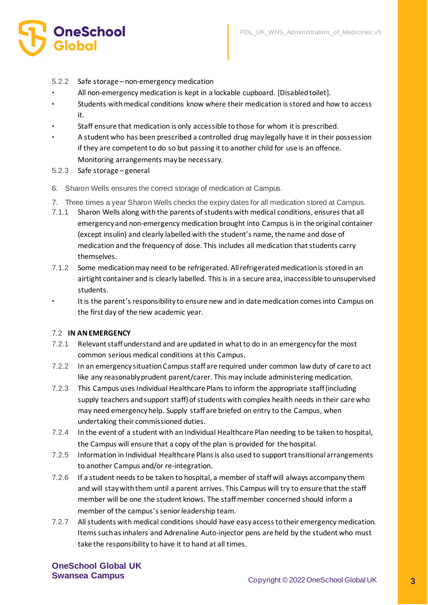

- 5.2.2 Safe storage non-emergency medication
- All non-emergency medication is kept in a lockable cupboard. [Disabled toilet].
- Students with medical conditions know where their medication is stored and how to access it.
- Staff ensure that medication is only accessible to those for whom it is prescribed.
- A student who has been prescribed a controlled drug may legally have it in their possession if they are competent to do so but passing it to another child for use is an offence. Monitoring arrangements may be necessary.
- 5.2.3 Safe storage general
- 6. Sharon Wells ensures the correct storage of medication at Campus.
- 7. Three times a year Sharon Wells checks the expiry dates for all medication stored at Campus.
- 7.1.1 Sharon Wells along with the parents of students with medical conditions, ensures that all emergency and non-emergency medication brought into Campus is in the original container (except insulin) and clearly labelled with the student's name, the name and dose of medication and the frequency of dose. This includes all medication that students carry themselves.
- 7.1.2 Some medication may need to be refrigerated. All refrigerated medication is stored in an airtight container and is clearly labelled. This is in a secure area, inaccessible to unsupervised students.
- It is the parent's responsibility to ensure new and in date medication comes into Campus on the first day of the new academic year.

#### 7.2 **IN AN EMERGENCY**

- 7.2.1 Relevant staff understand and are updated in what to do in an emergency for the most common serious medical conditions at this Campus.
- 7.2.2 In an emergency situation Campus staff are required under common law duty of care to act like any reasonably prudent parent/carer. This may include administering medication.
- 7.2.3 This Campus uses Individual Healthcare Plans to inform the appropriate staff (including supply teachers and support staff) of students with complex health needs in their care who may need emergency help. Supply staff are briefed on entry to the Campus, when undertaking their commissioned duties.
- 7.2.4 In the event of a student with an Individual Healthcare Plan needing to be taken to hospital, the Campus will ensure that a copy of the plan is provided for the hospital.
- 7.2.5 Information in Individual Healthcare Plans is also used to support transitional arrangements to another Campus and/or re-integration.
- 7.2.6 If a student needs to be taken to hospital, a member of staff will always accompany them and will stay with them until a parent arrives. This Campus will try to ensure that the staff member will be one the student knows. The staff member concerned should inform a member of the campus's senior leadership team.
- 7.2.7 All students with medical conditions should have easy access to their emergency medication. Items such as inhalers and Adrenaline Auto-injector pens are held by the student who must take the responsibility to have it to hand at all times.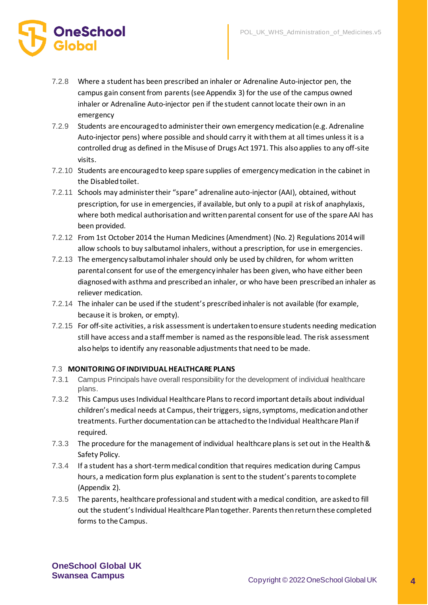

- 7.2.8 Where a student has been prescribed an inhaler or Adrenaline Auto-injector pen, the campus gain consent from parents (see Appendix 3) for the use of the campus owned inhaler or Adrenaline Auto-injector pen if the student cannot locate their own in an emergency
- 7.2.9 Students are encouraged to administer their own emergency medication (e.g. Adrenaline Auto-injector pens) where possible and should carry it with them at all times unless it is a controlled drug as defined in the Misuse of Drugs Act 1971. This also applies to any off-site visits.
- 7.2.10 Students are encouraged to keep spare supplies of emergency medication in the cabinet in the Disabled toilet.
- 7.2.11 Schools may administer their "spare" adrenaline auto-injector (AAI), obtained, without prescription, for use in emergencies, if available, but only to a pupil at risk of anaphylaxis, where both medical authorisation and written parental consent for use of the spare AAI has been provided.
- 7.2.12 From 1st October 2014 the Human Medicines (Amendment) (No. 2) Regulations 2014 will allow schools to buy salbutamol inhalers, without a prescription, for use in emergencies.
- 7.2.13 The emergency salbutamol inhaler should only be used by children, for whom written parental consent for use of the emergency inhaler has been given, who have either been diagnosed with asthma and prescribed an inhaler, or who have been prescribed an inhaler as reliever medication.
- 7.2.14 The inhaler can be used if the student's prescribed inhaler is not available (for example, because it is broken, or empty).
- 7.2.15 For off-site activities, a risk assessment is undertaken to ensure students needing medication still have access and a staff member is named as the responsible lead. The risk assessment also helps to identify any reasonable adjustments that need to be made.

#### 7.3 **MONITORING OF INDIVIDUAL HEALTHCARE PLANS**

- 7.3.1 Campus Principals have overall responsibility for the development of individual healthcare plans.
- 7.3.2 This Campus uses Individual Healthcare Plans to record important details about individual children's medical needs at Campus, their triggers, signs, symptoms, medication and other treatments. Further documentation can be attached to the Individual Healthcare Plan if required.
- 7.3.3 The procedure for the management of individual healthcare plans is set out in the Health & Safety Policy.
- 7.3.4 If a student has a short-term medical condition that requires medication during Campus hours, a medication form plus explanation is sent to the student's parents to complete (Appendix 2).
- 7.3.5 The parents, healthcare professional and student with a medical condition, are asked to fill out the student's Individual Healthcare Plan together. Parents then return these completed forms to the Campus.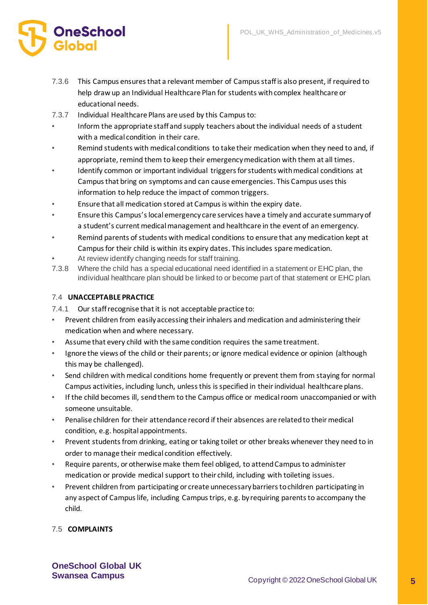# **OneSchool**

- 7.3.6 This Campus ensures that a relevant member of Campus staff is also present, if required to help draw up an Individual Healthcare Plan for students with complex healthcare or educational needs.
- 7.3.7 Individual Healthcare Plans are used by this Campus to:
- Inform the appropriate staff and supply teachers about the individual needs of a student with a medical condition in their care.
- Remind students with medical conditions to take their medication when they need to and, if appropriate, remind them to keep their emergency medication with them at all times.
- Identify common or important individual triggers for students with medical conditions at Campus that bring on symptoms and can cause emergencies. This Campus uses this information to help reduce the impact of common triggers.
- Ensure that all medication stored at Campus is within the expiry date.
- Ensure this Campus's local emergency care services have a timely and accurate summary of a student's current medical management and healthcare in the event of an emergency.
- Remind parents of students with medical conditions to ensure that any medication kept at Campus for their child is within its expiry dates. This includes spare medication.
- At review identify changing needs for staff training.
- 7.3.8 Where the child has a special educational need identified in a statement or EHC plan, the individual healthcare plan should be linked to or become part of that statement or EHC plan.

#### 7.4 **UNACCEPTABLE PRACTICE**

- 7.4.1 Our staff recognise that it is not acceptable practice to:
- Prevent children from easily accessing their inhalers and medication and administering their medication when and where necessary.
- Assume that every child with the same condition requires the same treatment.
- Ignore the views of the child or their parents; or ignore medical evidence or opinion (although this may be challenged).
- Send children with medical conditions home frequently or prevent them from staying for normal Campus activities, including lunch, unless this is specified in their individual healthcare plans.
- If the child becomes ill, send them to the Campus office or medical room unaccompanied or with someone unsuitable.
- Penalise children for their attendance record if their absences are related to their medical condition, e.g. hospital appointments.
- Prevent students from drinking, eating or taking toilet or other breaks whenever they need to in order to manage their medical condition effectively.
- Require parents, or otherwise make them feel obliged, to attend Campus to administer medication or provide medical support to their child, including with toileting issues.
- Prevent children from participating or create unnecessary barriers to children participating in any aspect of Campus life, including Campus trips, e.g. by requiring parents to accompany the child.

# 7.5 **COMPLAINTS**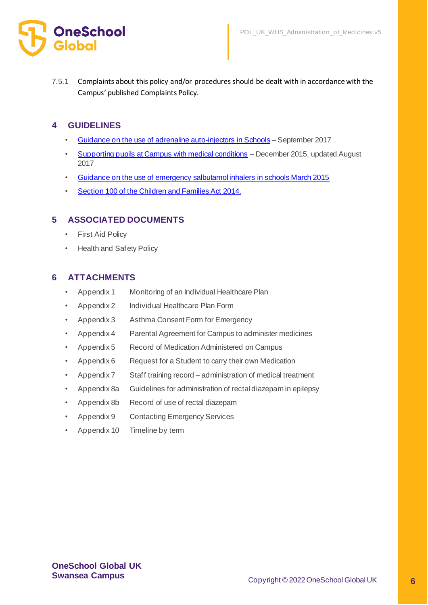

7.5.1 Complaints about this policy and/or procedures should be dealt with in accordance with the Campus' published Complaints Policy.

# **4 GUIDELINES**

- [Guidance on the use of adrenaline auto-injectors in Schools](https://assets.publishing.service.gov.uk/government/uploads/system/uploads/attachment_data/file/645476/Adrenaline_auto_injectors_in_schools.pdf) September 2017
- [Supporting pupils at Campus with medical conditions](https://assets.publishing.service.gov.uk/government/uploads/system/uploads/attachment_data/file/803956/supporting-pupils-at-school-with-medical-conditions.pdf) December 2015, updated August 2017
- [Guidance on the use of emergency salbutamol inhalers in schools March 2015](https://assets.publishing.service.gov.uk/government/uploads/system/uploads/attachment_data/file/416468/emergency_inhalers_in_schools.pdf)
- [Section 100 of the Children and Families Act 2014.](http://www.legislation.gov.uk/ukpga/2014/6/section/100/enacted)

# **5 ASSOCIATED DOCUMENTS**

- First Aid Policy
- Health and Safety Policy

# **6 ATTACHMENTS**

- Appendix 1 Monitoring of an Individual Healthcare Plan
- Appendix 2 Individual Healthcare Plan Form
- Appendix 3 Asthma Consent Form for Emergency
- Appendix 4 Parental Agreement for Campus to administer medicines
- Appendix 5 Record of Medication Administered on Campus
- Appendix 6 Request for a Student to carry their own Medication
- Appendix 7 Staff training record administration of medical treatment
- Appendix 8a Guidelines for administration of rectal diazepam in epilepsy
- Appendix 8b Record of use of rectal diazepam
- Appendix 9 Contacting Emergency Services
- Appendix 10 Timeline by term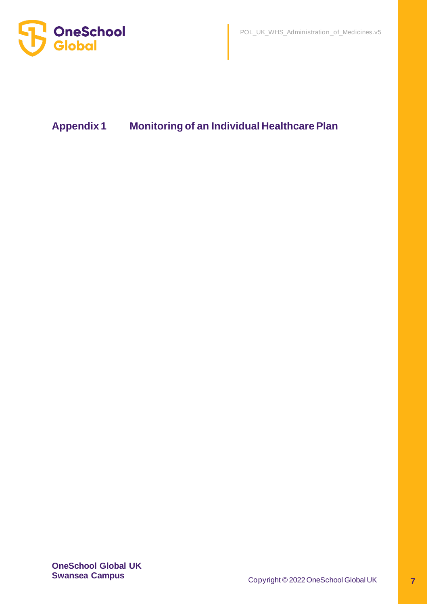

# **Appendix 1 Monitoring of an Individual Healthcare Plan**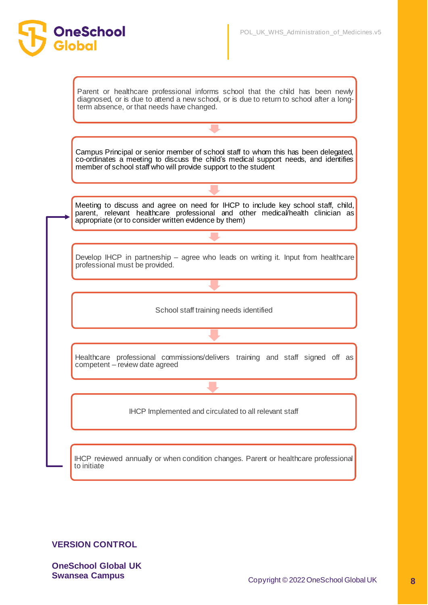

# **VERSION CONTROL**

**OneSchool**